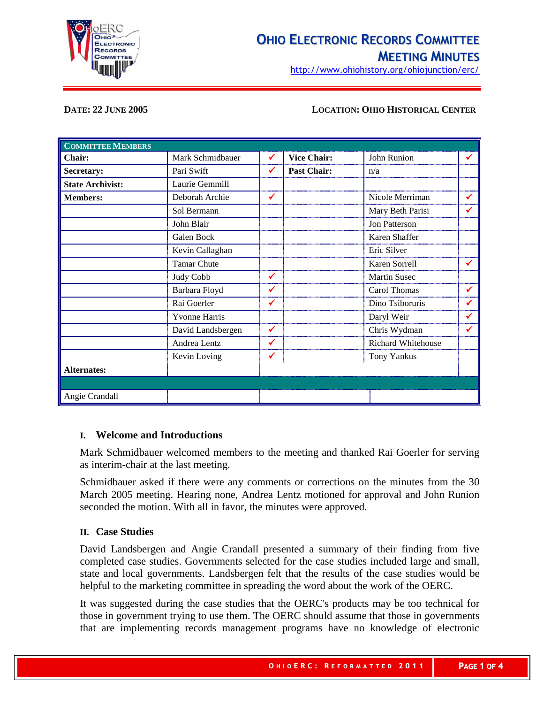

# **OHIO ELECTRONIC RECORDS COMMITTEE MEETING MINUTES**

http://www.ohiohistory.org/ohiojunction/erc/

## **DATE: 22 JUNE 2005 LOCATION: OHIO HISTORICAL CENTER**

| <b>COMMITTEE MEMBERS</b> |                      |   |                    |                      |   |
|--------------------------|----------------------|---|--------------------|----------------------|---|
| <b>Chair:</b>            | Mark Schmidbauer     | ✔ | <b>Vice Chair:</b> | John Runion          | ✔ |
| Secretary:               | Pari Swift           | ✔ | <b>Past Chair:</b> | n/a                  |   |
| <b>State Archivist:</b>  | Laurie Gemmill       |   |                    |                      |   |
| <b>Members:</b>          | Deborah Archie       | ✔ |                    | Nicole Merriman      | ✔ |
|                          | Sol Bermann          |   |                    | Mary Beth Parisi     | ✔ |
|                          | John Blair           |   |                    | <b>Jon Patterson</b> |   |
|                          | Galen Bock           |   |                    | Karen Shaffer        |   |
|                          | Kevin Callaghan      |   |                    | Eric Silver          |   |
|                          | <b>Tamar Chute</b>   |   |                    | Karen Sorrell        | ✔ |
|                          | Judy Cobb            | ✔ |                    | <b>Martin Susec</b>  |   |
|                          | Barbara Floyd        | ✔ |                    | Carol Thomas         | ✔ |
|                          | Rai Goerler          | ✔ |                    | Dino Tsiboruris      | ✔ |
|                          | <b>Yvonne Harris</b> |   |                    | Daryl Weir           | ✔ |
|                          | David Landsbergen    | ✔ |                    | Chris Wydman         | ✔ |
|                          | Andrea Lentz         | ✔ |                    | Richard Whitehouse   |   |
|                          | Kevin Loving         | ✔ |                    | <b>Tony Yankus</b>   |   |
| <b>Alternates:</b>       |                      |   |                    |                      |   |
|                          |                      |   |                    |                      |   |
| Angie Crandall           |                      |   |                    |                      |   |

#### **I. Welcome and Introductions**

Mark Schmidbauer welcomed members to the meeting and thanked Rai Goerler for serving as interim-chair at the last meeting.

Schmidbauer asked if there were any comments or corrections on the minutes from the 30 March 2005 meeting. Hearing none, Andrea Lentz motioned for approval and John Runion seconded the motion. With all in favor, the minutes were approved.

#### **II. Case Studies**

David Landsbergen and Angie Crandall presented a summary of their finding from five completed case studies. Governments selected for the case studies included large and small, state and local governments. Landsbergen felt that the results of the case studies would be helpful to the marketing committee in spreading the word about the work of the OERC.

It was suggested during the case studies that the OERC's products may be too technical for those in government trying to use them. The OERC should assume that those in governments that are implementing records management programs have no knowledge of electronic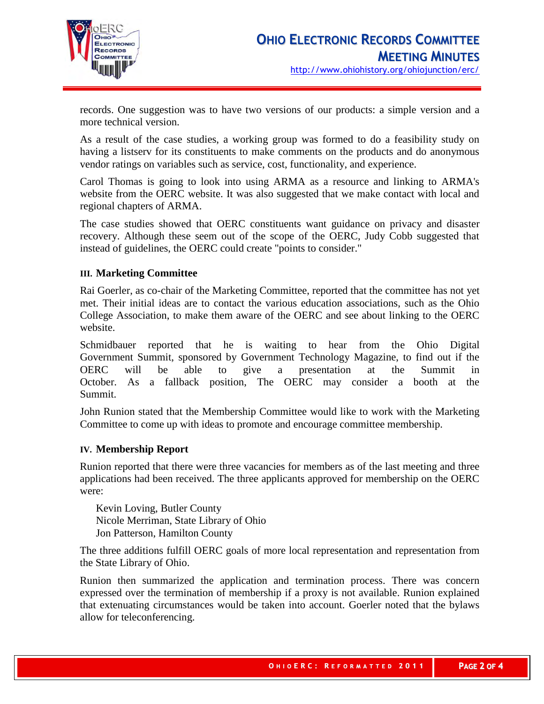

records. One suggestion was to have two versions of our products: a simple version and a more technical version.

As a result of the case studies, a working group was formed to do a feasibility study on having a listserv for its constituents to make comments on the products and do anonymous vendor ratings on variables such as service, cost, functionality, and experience.

Carol Thomas is going to look into using ARMA as a resource and linking to ARMA's website from the OERC website. It was also suggested that we make contact with local and regional chapters of ARMA.

The case studies showed that OERC constituents want guidance on privacy and disaster recovery. Although these seem out of the scope of the OERC, Judy Cobb suggested that instead of guidelines, the OERC could create "points to consider."

# **III. Marketing Committee**

Rai Goerler, as co-chair of the Marketing Committee, reported that the committee has not yet met. Their initial ideas are to contact the various education associations, such as the Ohio College Association, to make them aware of the OERC and see about linking to the OERC website.

Schmidbauer reported that he is waiting to hear from the Ohio Digital Government Summit, sponsored by Government Technology Magazine, to find out if the OERC will be able to give a presentation at the Summit in October. As a fallback position, The OERC may consider a booth at the Summit.

John Runion stated that the Membership Committee would like to work with the Marketing Committee to come up with ideas to promote and encourage committee membership.

## **IV. Membership Report**

Runion reported that there were three vacancies for members as of the last meeting and three applications had been received. The three applicants approved for membership on the OERC were:

Kevin Loving, Butler County Nicole Merriman, State Library of Ohio Jon Patterson, Hamilton County

The three additions fulfill OERC goals of more local representation and representation from the State Library of Ohio.

Runion then summarized the application and termination process. There was concern expressed over the termination of membership if a proxy is not available. Runion explained that extenuating circumstances would be taken into account. Goerler noted that the bylaws allow for teleconferencing.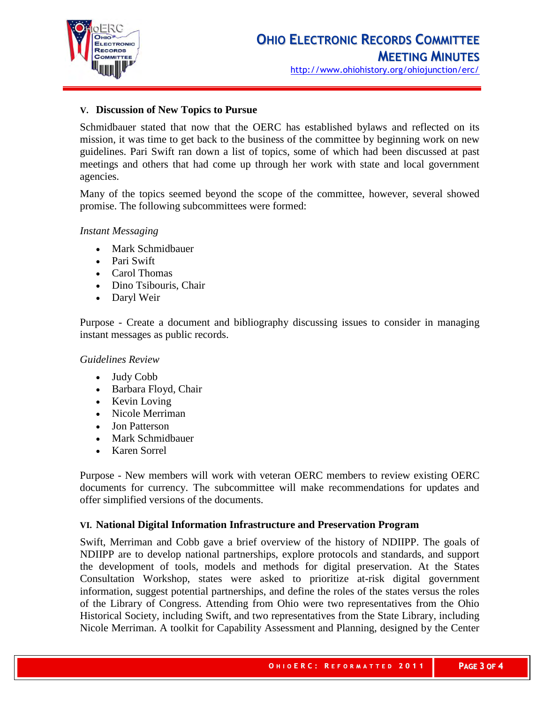

## **V. Discussion of New Topics to Pursue**

Schmidbauer stated that now that the OERC has established bylaws and reflected on its mission, it was time to get back to the business of the committee by beginning work on new guidelines. Pari Swift ran down a list of topics, some of which had been discussed at past meetings and others that had come up through her work with state and local government agencies.

Many of the topics seemed beyond the scope of the committee, however, several showed promise. The following subcommittees were formed:

#### *Instant Messaging*

- Mark Schmidbauer
- Pari Swift
- Carol Thomas
- Dino Tsibouris, Chair
- Daryl Weir

Purpose - Create a document and bibliography discussing issues to consider in managing instant messages as public records.

*Guidelines Review*

- Judy Cobb
- Barbara Floyd, Chair
- Kevin Loving
- Nicole Merriman
- Jon Patterson
- Mark Schmidbauer
- Karen Sorrel

Purpose - New members will work with veteran OERC members to review existing OERC documents for currency. The subcommittee will make recommendations for updates and offer simplified versions of the documents.

## **VI. National Digital Information Infrastructure and Preservation Program**

Swift, Merriman and Cobb gave a brief overview of the history of NDIIPP. The goals of NDIIPP are to develop national partnerships, explore protocols and standards, and support the development of tools, models and methods for digital preservation. At the States Consultation Workshop, states were asked to prioritize at-risk digital government information, suggest potential partnerships, and define the roles of the states versus the roles of the Library of Congress. Attending from Ohio were two representatives from the Ohio Historical Society, including Swift, and two representatives from the State Library, including Nicole Merriman. A toolkit for Capability Assessment and Planning, designed by the Center